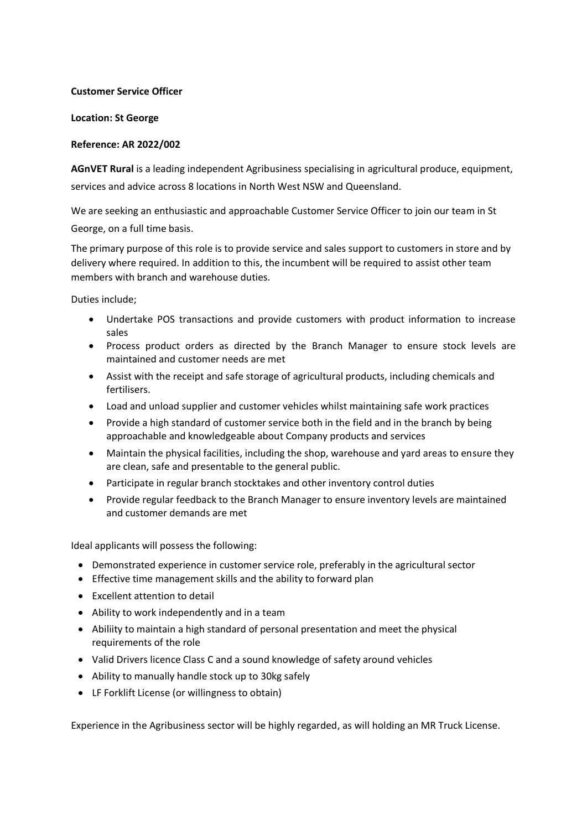## **Customer Service Officer**

## **Location: St George**

## **Reference: AR 2022/002**

**AGnVET Rural** is a leading independent Agribusiness specialising in agricultural produce, equipment, services and advice across 8 locations in North West NSW and Queensland.

We are seeking an enthusiastic and approachable Customer Service Officer to join our team in St George, on a full time basis.

The primary purpose of this role is to provide service and sales support to customers in store and by delivery where required. In addition to this, the incumbent will be required to assist other team members with branch and warehouse duties.

Duties include;

- Undertake POS transactions and provide customers with product information to increase sales
- Process product orders as directed by the Branch Manager to ensure stock levels are maintained and customer needs are met
- Assist with the receipt and safe storage of agricultural products, including chemicals and fertilisers.
- Load and unload supplier and customer vehicles whilst maintaining safe work practices
- Provide a high standard of customer service both in the field and in the branch by being approachable and knowledgeable about Company products and services
- Maintain the physical facilities, including the shop, warehouse and yard areas to ensure they are clean, safe and presentable to the general public.
- Participate in regular branch stocktakes and other inventory control duties
- Provide regular feedback to the Branch Manager to ensure inventory levels are maintained and customer demands are met

Ideal applicants will possess the following:

- Demonstrated experience in customer service role, preferably in the agricultural sector
- Effective time management skills and the ability to forward plan
- Excellent attention to detail
- Ability to work independently and in a team
- Abiliity to maintain a high standard of personal presentation and meet the physical requirements of the role
- Valid Drivers licence Class C and a sound knowledge of safety around vehicles
- Ability to manually handle stock up to 30kg safely
- LF Forklift License (or willingness to obtain)

Experience in the Agribusiness sector will be highly regarded, as will holding an MR Truck License.